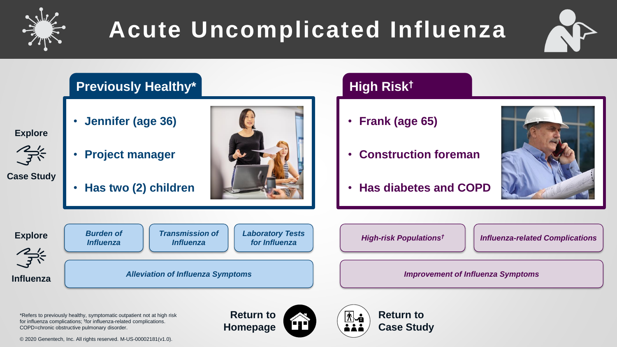

# **Acute Uncomplicated Influenza**



*[Influenza-related Complications](#page-8-0)*

#### **[Previously Healthy\\*](#page-1-0) High Risk†** • **Jennifer (age 36)** • **Frank (age 65)** • **Construction foreman** • **Project manager** • **Has two (2) children** • **[Has diabetes and COPD](#page-6-0)** *[Burden of](#page-2-0)  [Transmission of](#page-5-0)  [Laboratory Tests](#page-3-0)* **Explore** *[High-risk Populations](#page-7-0)† Influenza for Influenza Influenza* 学 *[Alleviation of Influenza Symptoms](#page-4-0) [Improvement of Influenza Symptoms](#page-9-0)***Influenza**

\*Refers to previously healthy, symptomatic outpatient not at high risk for influenza complications; † for influenza-related complications. COPD=chronic obstructive pulmonary disorder.

**Return to Homepage**



**Return to Case Study**

**Explore**

 $\mathcal{Z}^{\prime}_{\mathcal{F}}$ 

**Case Study**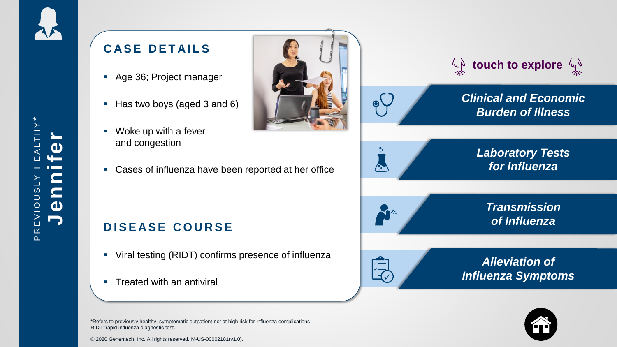### <span id="page-1-0"></span>**CASE DETAILS**

- Age 36; Project manager
- Has two boys (aged 3 and 6)
- Woke up with a fever and congestion
- Cases of influenza have been reported at her office

### **DISEASE COURSE**

- Viral testing (RIDT) confirms presence of influenza
- **Treated with an antiviral**

\*Refers to previously healthy, symptomatic outpatient not at high risk for influenza complications RIDT=rapid influenza diagnostic test.



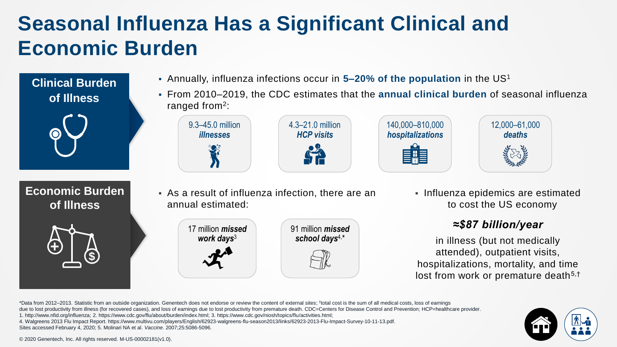### <span id="page-2-0"></span>**Seasonal Influenza Has a Significant Clinical and Economic Burden**

**Clinical Burden of Illness**



**Economic Burden of Illness**





 From 2010–2019, the CDC estimates that the **annual clinical burden** of seasonal influenza ranged from<sup>2</sup>:



 As a result of influenza infection, there are an annual estimated:



**Influenza epidemics are estimated** to cost the US economy

#### *≈\$87 billion/year*

in illness (but not medically attended), outpatient visits, hospitalizations, mortality, and time lost from work or premature death<sup>5,†</sup>

\*Data from 2012–2013. Statistic from an outside organization. Genentech does not endorse or review the content of external sites; † total cost is the sum of all medical costs, loss of earnings due to lost productivity from illness (for recovered cases), and loss of earnings due to lost productivity from premature death. CDC=Centers for Disease Control and Prevention; HCP=healthcare provider. 1. http://www.nfid.org/influenza; 2. https://www.cdc.gov/flu/about/burden/index.html; 3. https://www.cdc.gov/niosh/topics/flu/activities.html; 4. Walgreens 2013 Flu Impact Report. https://www.multivu.com/players/English/62923-walgreens-flu-season2013/links/62923-2013-Flu-Impact-Survey-10-11-13.pdf. Sites accessed February 4, 2020; 5. Molinari NA et al. *Vaccine*. 2007;25:5086-5096.

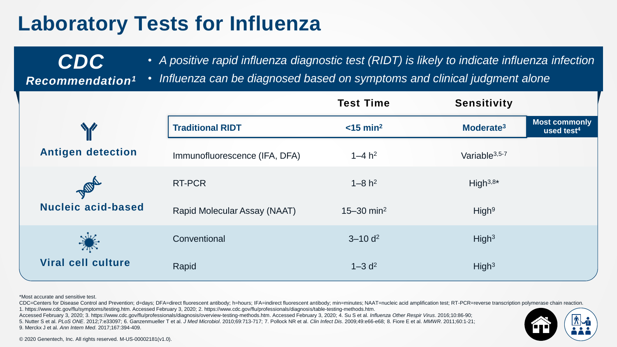### <span id="page-3-0"></span>**Laboratory Tests for Influenza**

• *A positive rapid influenza diagnostic test (RIDT) is likely to indicate influenza infection* 

*Recommendation<sup>1</sup>* • *Influenza can be diagnosed based on symptoms and clinical judgment alone*

|                                    |                               | <b>Test Time</b>           | <b>Sensitivity</b>        |                                                |
|------------------------------------|-------------------------------|----------------------------|---------------------------|------------------------------------------------|
|                                    | <b>Traditional RIDT</b>       | $<$ 15 min <sup>2</sup>    | Moderate <sup>3</sup>     | <b>Most commonly</b><br>used test <sup>4</sup> |
| <b>Antigen detection</b>           | Immunofluorescence (IFA, DFA) | $1 - 4 h2$                 | Variable <sup>3,5-7</sup> |                                                |
| PAIDA<br><b>Nucleic acid-based</b> | RT-PCR                        | $1 - 8 h2$                 | High $3,8*$               |                                                |
|                                    | Rapid Molecular Assay (NAAT)  | $15 - 30$ min <sup>2</sup> | High <sup>9</sup>         |                                                |
|                                    | Conventional                  | $3 - 10 d^2$               | High <sup>3</sup>         |                                                |
| <b>Viral cell culture</b>          | Rapid                         | $1 - 3 d2$                 | High <sup>3</sup>         |                                                |

\*Most accurate and sensitive test.

CDC=Centers for Disease Control and Prevention; d=days; DFA=direct fluorescent antibody; h=hours; IFA=indirect fluorescent antibody; min=minutes; NAAT=nucleic acid amplification test; RT-PCR=reverse transcription polymeras 1. https://www.cdc.gov/flu/symptoms/testing.htm. Accessed February 3, 2020; 2. https://www.cdc.gov/flu/professionals/diagnosis/table-testing-methods.htm.

Accessed February 3, 2020; 3. https://www.cdc.gov/flu/professionals/diagnosis/overview-testing-methods.htm. Accessed February 3, 2020; 4. Su S et al. *Influenza Other Respir Virus*. 2016;10:86-90;

5. Nutter S et al. *PLoS ONE*. 2012;7:e33097; 6. Ganzenmueller T et al. *J Med Microbiol*. 2010;69:713-717; 7. Pollock NR et al. *Clin Infect Dis*. 2009;49:e66-e68; 8. Fiore E et al. *MMWR*. 2011;60:1-21; 9. Merckx J et al. *Ann Intern Med*. 2017;167:394-409.



© 2020 Genentech, Inc. All rights reserved. M-US-00002181(v1.0).

*CDC*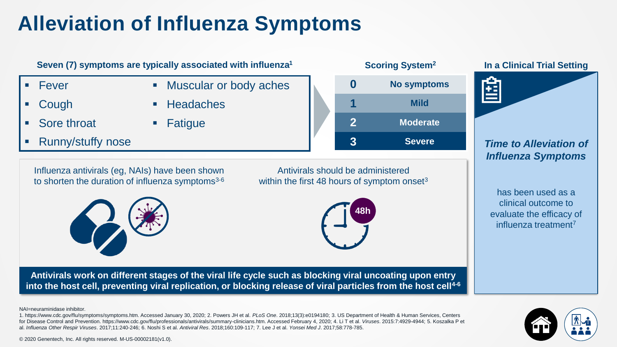## <span id="page-4-0"></span>**Alleviation of Influenza Symptoms**



for Disease Control and Prevention. https://www.cdc.gov/flu/professionals/antivirals/summary-clinicians.htm. Accessed February 4, 2020; 4. Li T et al. *Viruses*. 2015:7:4929-4944; 5. Koszalka P et al. *Influenza Other Respir Viruses*. 2017;11:240-246; 6. Noshi S et al. *Antiviral Res*. 2018;160:109-117; 7. Lee J et al. *Yonsei Med J*. 2017;58:778-785.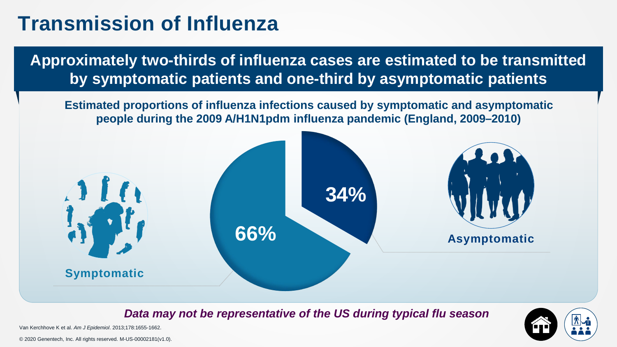### <span id="page-5-0"></span>**Transmission of Influenza**

**Approximately two-thirds of influenza cases are estimated to be transmitted by symptomatic patients and one-third by asymptomatic patients**

**Estimated proportions of influenza infections caused by symptomatic and asymptomatic people during the 2009 A/H1N1pdm influenza pandemic (England, 2009–2010)**



*Data may not be representative of the US during typical flu season*



Van Kerchhove K et al. *Am J Epidemiol*. 2013;178:1655-1662.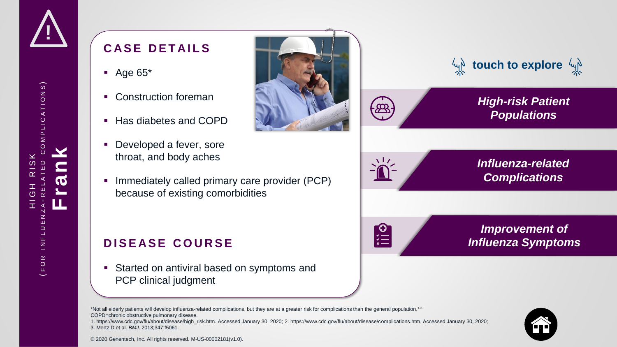<span id="page-6-0"></span>

### **CASE DETAILS**

- $\blacksquare$  Age 65\*
- Construction foreman
- Has diabetes and COPD
- Developed a fever, sore throat, and body aches
- **IMMEDIATELY CALLED 1.1 CONCOCO EVALUTE:** Immediately called primary care provider (PCP) because of existing comorbidities

#### **DISEASE COURSE**

 Started on antiviral based on symptoms and PCP clinical judgment



1. https://www.cdc.gov/flu/about/disease/high\_risk.htm. Accessed January 30, 2020; 2. https://www.cdc.gov/flu/about/disease/complications.htm. Accessed January 30, 2020; 3. Mertz D et al. *BMJ.* 2013;347:f5061.



© 2020 Genentech, Inc. All rights reserved. M-US-00002181(v1.0).





**Partic** 

*Improvement of [Influenza Symptoms](#page-9-0)*

*t***y touch to explore**  $\psi$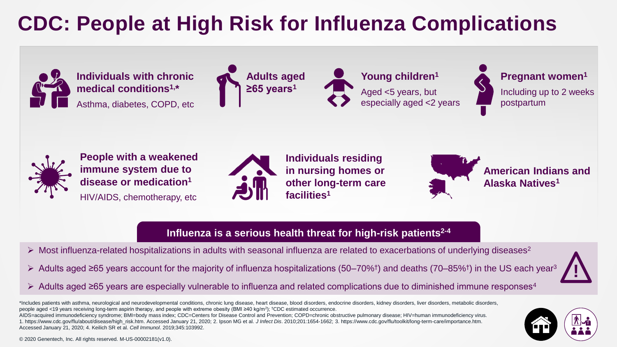## <span id="page-7-0"></span>**CDC: People at High Risk for Influenza Complications**



#### **Influenza is a serious health threat for high-risk patients2-4**

**!**

- $\triangleright$  Most influenza-related hospitalizations in adults with seasonal influenza are related to exacerbations of underlying diseases<sup>2</sup>
- Adults aged ≥65 years account for the majority of influenza hospitalizations (50–70%† ) and deaths (70–85%† ) in the US each year<sup>3</sup>
- Adults aged ≥65 years are especially vulnerable to influenza and related complications due to diminished immune responses<sup>4</sup>

\*Includes patients with asthma, neurological and neurodevelopmental conditions, chronic lung disease, heart disease, blood disorders, endocrine disorders, kidney disorders, liver disorders, metabolic disorders, people aged <19 years receiving long-term aspirin therapy, and people with extreme obesity (BMI ≥40 kg/m<sup>2</sup>); <sup>†</sup>CDC estimated occurrence.

AIDS=acquired immunodeficiency syndrome; BMI=body mass index; CDC=Centers for Disease Control and Prevention; COPD=chronic obstructive pulmonary disease; HIV=human immunodeficiency virus. 1. https://www.cdc.gov/flu/about/disease/high\_risk.htm. Accessed January 21, 2020; 2. Ipson MG et al. *J Infect Dis*. 2010;201:1654-1662; 3. https://www.cdc.gov/flu/toolkit/long-term-care/importance.htm. Accessed January 21, 2020; 4. Keilich SR et al. *Cell Immunol*. 2019;345:103992.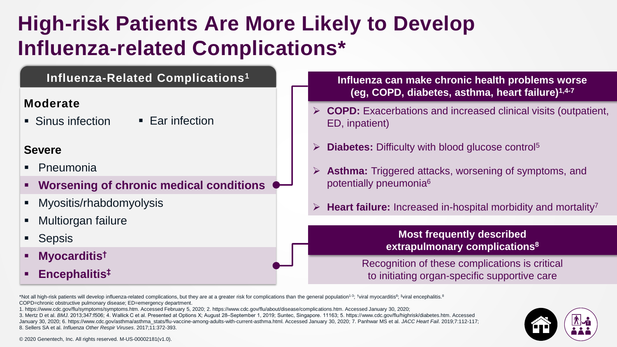### <span id="page-8-0"></span>**High-risk Patients Are More Likely to Develop Influenza-related Complications\***

#### **Influenza-Related Complications<sup>1</sup>**

#### **Moderate**

• Sinus infection • Ear infection

#### **Severe**

- Pneumonia
- **Worsening of chronic medical conditions**
- Myositis/rhabdomyolysis
- Multiorgan failure
- Sepsis
- **Myocarditis†**
- **Encephalitis‡**

**Influenza can make chronic health problems worse (eg, COPD, diabetes, asthma, heart failure)1,4-7**

- **COPD:** Exacerbations and increased clinical visits (outpatient, ED, inpatient)
- **Diabetes:** Difficulty with blood glucose control<sup>5</sup>
- Asthma: Triggered attacks, worsening of symptoms, and potentially pneumonia<sup>6</sup>
- **Heart failure:** Increased in-hospital morbidity and mortality<sup>7</sup>

#### **Most frequently described extrapulmonary complications<sup>8</sup>**

Recognition of these complications is critical to initiating organ-specific supportive care

\*Not all high-risk patients will develop influenza-related complications, but they are at a greater risk for complications than the general population<sup>1-3</sup>; <sup>†</sup>viral myocarditis<sup>8</sup>; ‡viral encephalitis.<sup>8</sup> COPD=chronic obstructive pulmonary disease; ED=emergency department.

1. https://www.cdc.gov/flu/symptoms/symptoms.htm. Accessed February 5, 2020; 2. https://www.cdc.gov/flu/about/disease/complications.htm. Accessed January 30, 2020; 3. Mertz D et al. *BMJ.* 2013;347:f506; 4. Wallick C et al. Presented at Options X; August 28‒September 1, 2019; Suntec, Singapore. 11163; 5. https://www.cdc.gov/flu/highrisk/diabetes.htm. Accessed January 30, 2020; 6. https://www.cdc.gov/asthma/asthma\_stats/flu-vaccine-among-adults-with-current-asthma.html. Accessed January 30, 2020; 7. Panhwar MS et al. *JACC Heart Fail*. 2019;7:112-117; 8. Sellers SA et al. *Influenza Other Respir Viruses*. 2017;11:372-393.